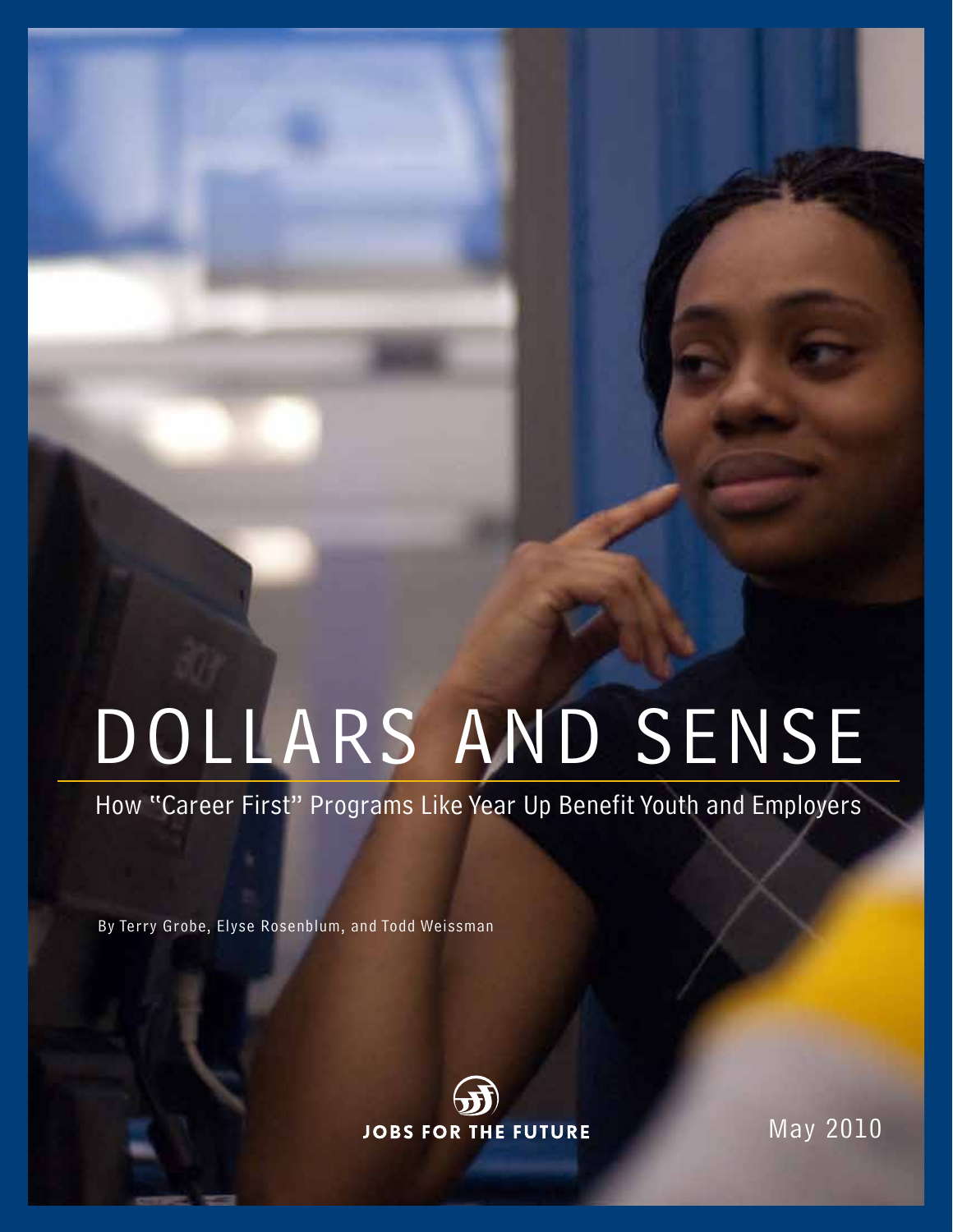# DOLLARS AND SENSE

How "Career First" Programs Like Year Up Benefit Youth and Employers

By Terry Grobe, Elyse Rosenblum, and Todd Weissman



May 2010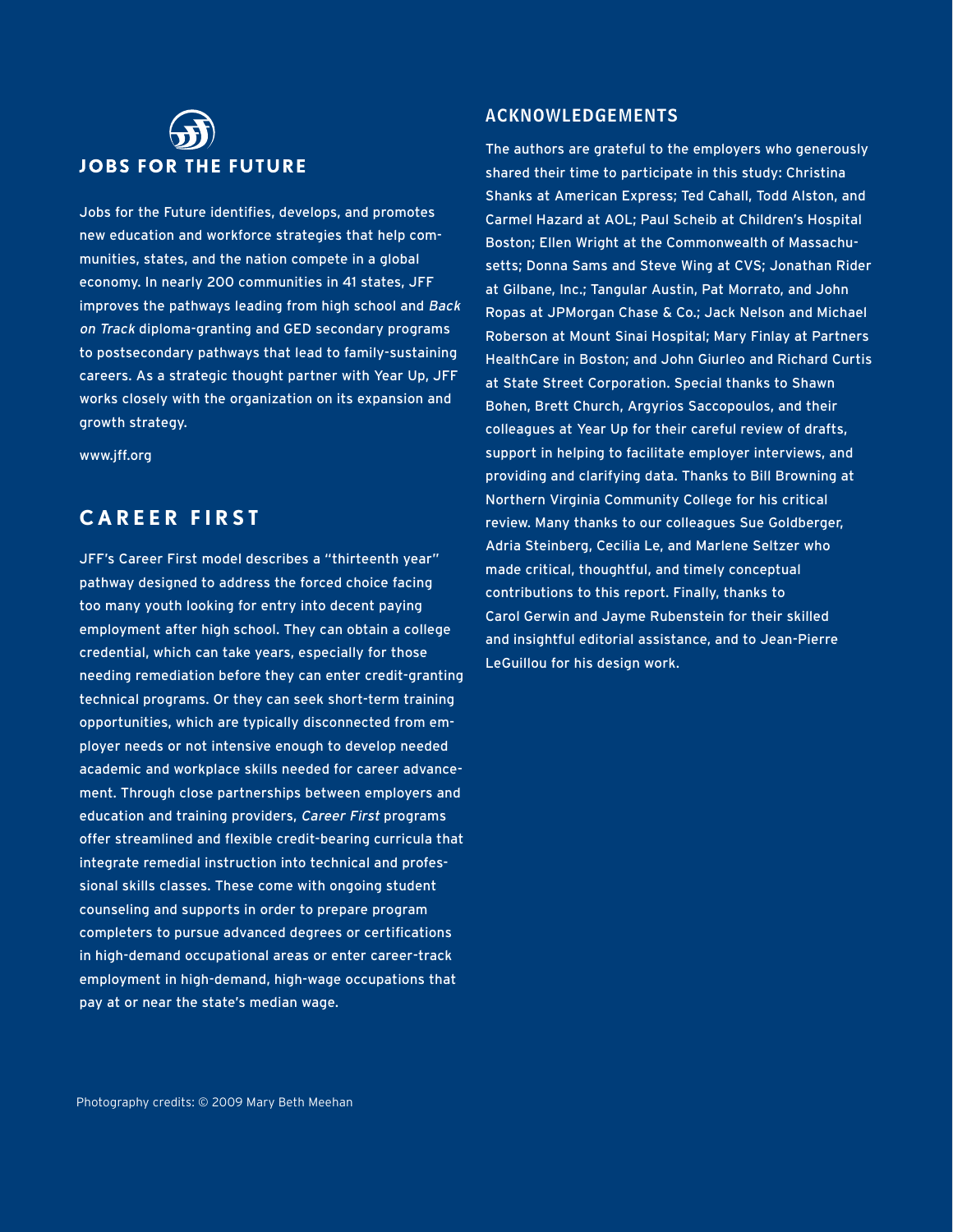# **JOBS FOR THE FUTURE**

Jobs for the Future identifies, develops, and promotes new education and workforce strategies that help communities, states, and the nation compete in a global economy. In nearly 200 communities in 41 states, JFF improves the pathways leading from high school and Back on Track diploma-granting and GED secondary programs to postsecondary pathways that lead to family-sustaining careers. As a strategic thought partner with Year Up, JFF works closely with the organization on its expansion and growth strategy.

www.jff.org

#### **C A R E E R F I R S T**

JFF's Career First model describes a "thirteenth year" pathway designed to address the forced choice facing too many youth looking for entry into decent paying employment after high school. They can obtain a college credential, which can take years, especially for those needing remediation before they can enter credit-granting technical programs. Or they can seek short-term training opportunities, which are typically disconnected from employer needs or not intensive enough to develop needed academic and workplace skills needed for career advancement. Through close partnerships between employers and education and training providers, Career First programs offer streamlined and flexible credit-bearing curricula that integrate remedial instruction into technical and professional skills classes. These come with ongoing student counseling and supports in order to prepare program completers to pursue advanced degrees or certifications in high-demand occupational areas or enter career-track employment in high-demand, high-wage occupations that pay at or near the state's median wage.

#### Acknowledgements

The authors are grateful to the employers who generously shared their time to participate in this study: Christina Shanks at American Express; Ted Cahall, Todd Alston, and Carmel Hazard at AOL; Paul Scheib at Children's Hospital Boston; Ellen Wright at the Commonwealth of Massachusetts; Donna Sams and Steve Wing at CVS; Jonathan Rider at Gilbane, Inc.; Tangular Austin, Pat Morrato, and John Ropas at JPMorgan Chase & Co.; Jack Nelson and Michael Roberson at Mount Sinai Hospital; Mary Finlay at Partners HealthCare in Boston; and John Giurleo and Richard Curtis at State Street Corporation. Special thanks to Shawn Bohen, Brett Church, Argyrios Saccopoulos, and their colleagues at Year Up for their careful review of drafts, support in helping to facilitate employer interviews, and providing and clarifying data. Thanks to Bill Browning at Northern Virginia Community College for his critical review. Many thanks to our colleagues Sue Goldberger, Adria Steinberg, Cecilia Le, and Marlene Seltzer who made critical, thoughtful, and timely conceptual contributions to this report. Finally, thanks to Carol Gerwin and Jayme Rubenstein for their skilled and insightful editorial assistance, and to Jean-Pierre LeGuillou for his design work.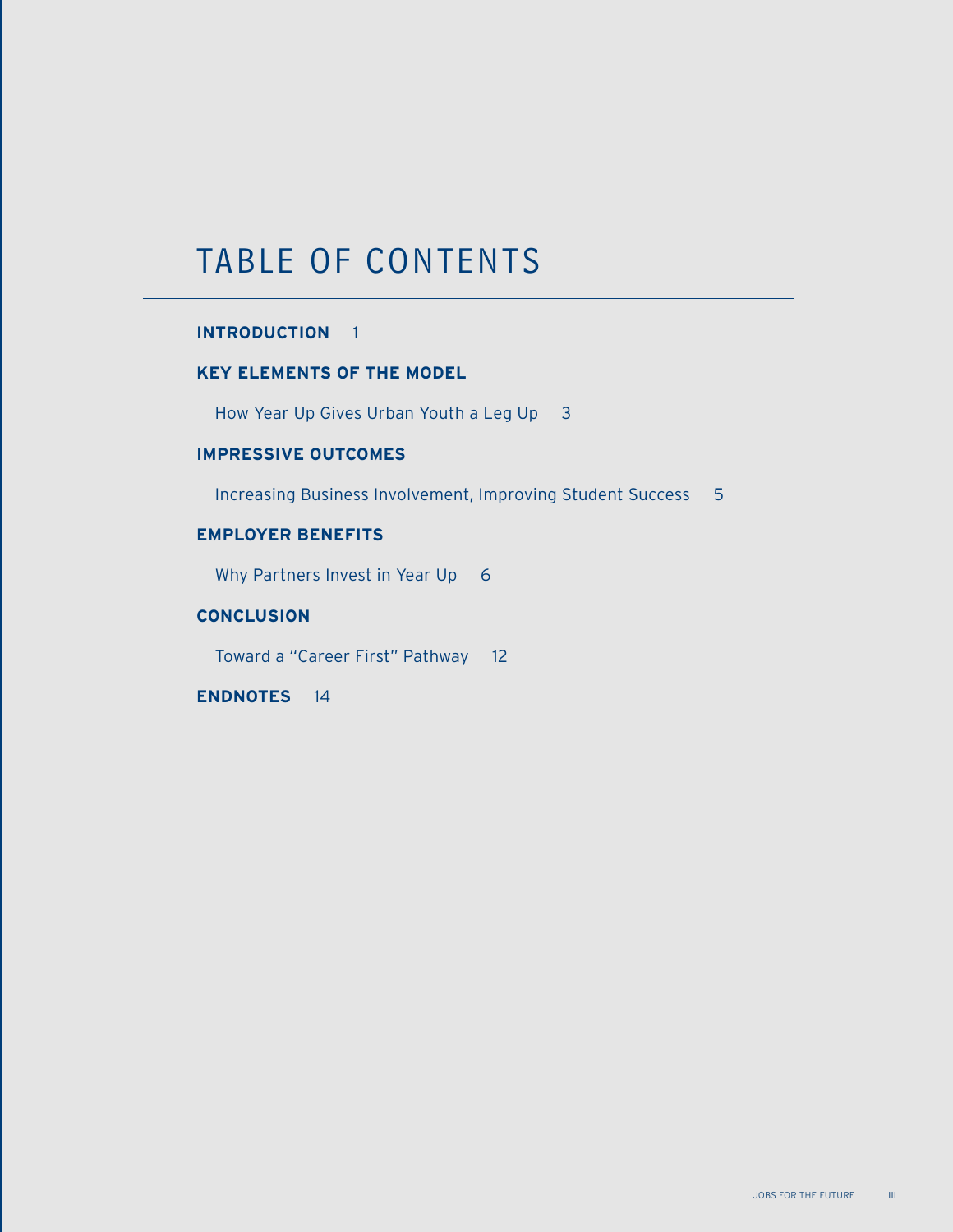### TABLE OF CONTENTS

#### **INTRODUCTION** 1

#### **KEY ELEMENTS OF THE MODEL**

How Year Up Gives Urban Youth a Leg Up 3

#### **IMPRESSIVE OUTCOMES**

Increasing Business Involvement, Improving Student Success 5

#### **EMPLOYER BENEFITS**

Why Partners Invest in Year Up 6

#### **CONCLUSION**

Toward a "Career First" Pathway 12

**ENDNOTES** 14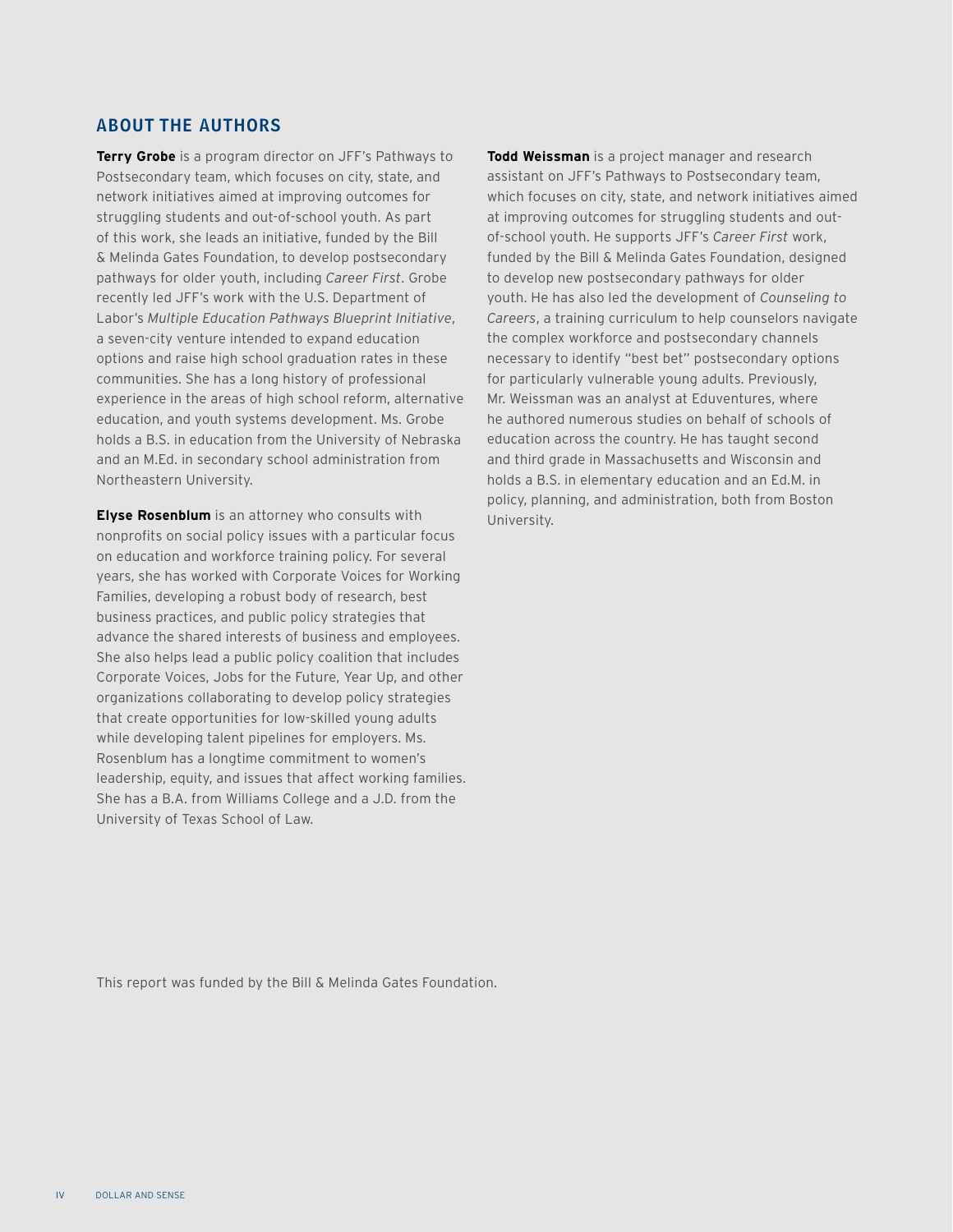#### About the Authors

**Terry Grobe** is a program director on JFF's Pathways to Postsecondary team, which focuses on city, state, and network initiatives aimed at improving outcomes for struggling students and out-of-school youth. As part of this work, she leads an initiative, funded by the Bill & Melinda Gates Foundation, to develop postsecondary pathways for older youth, including *Career First*. Grobe recently led JFF's work with the U.S. Department of Labor's *Multiple Education Pathways Blueprint Initiative*, a seven-city venture intended to expand education options and raise high school graduation rates in these communities. She has a long history of professional experience in the areas of high school reform, alternative education, and youth systems development. Ms. Grobe holds a B.S. in education from the University of Nebraska and an M.Ed. in secondary school administration from Northeastern University.

**Elyse Rosenblum** is an attorney who consults with nonprofits on social policy issues with a particular focus on education and workforce training policy. For several years, she has worked with Corporate Voices for Working Families, developing a robust body of research, best business practices, and public policy strategies that advance the shared interests of business and employees. She also helps lead a public policy coalition that includes Corporate Voices, Jobs for the Future, Year Up, and other organizations collaborating to develop policy strategies that create opportunities for low-skilled young adults while developing talent pipelines for employers. Ms. Rosenblum has a longtime commitment to women's leadership, equity, and issues that affect working families. She has a B.A. from Williams College and a J.D. from the University of Texas School of Law.

**Todd Weissman** is a project manager and research assistant on JFF's Pathways to Postsecondary team, which focuses on city, state, and network initiatives aimed at improving outcomes for struggling students and outof-school youth. He supports JFF's *Career First* work, funded by the Bill & Melinda Gates Foundation, designed to develop new postsecondary pathways for older youth. He has also led the development of *Counseling to Careers*, a training curriculum to help counselors navigate the complex workforce and postsecondary channels necessary to identify "best bet" postsecondary options for particularly vulnerable young adults. Previously, Mr. Weissman was an analyst at Eduventures, where he authored numerous studies on behalf of schools of education across the country. He has taught second and third grade in Massachusetts and Wisconsin and holds a B.S. in elementary education and an Ed.M. in policy, planning, and administration, both from Boston University.

This report was funded by the Bill & Melinda Gates Foundation.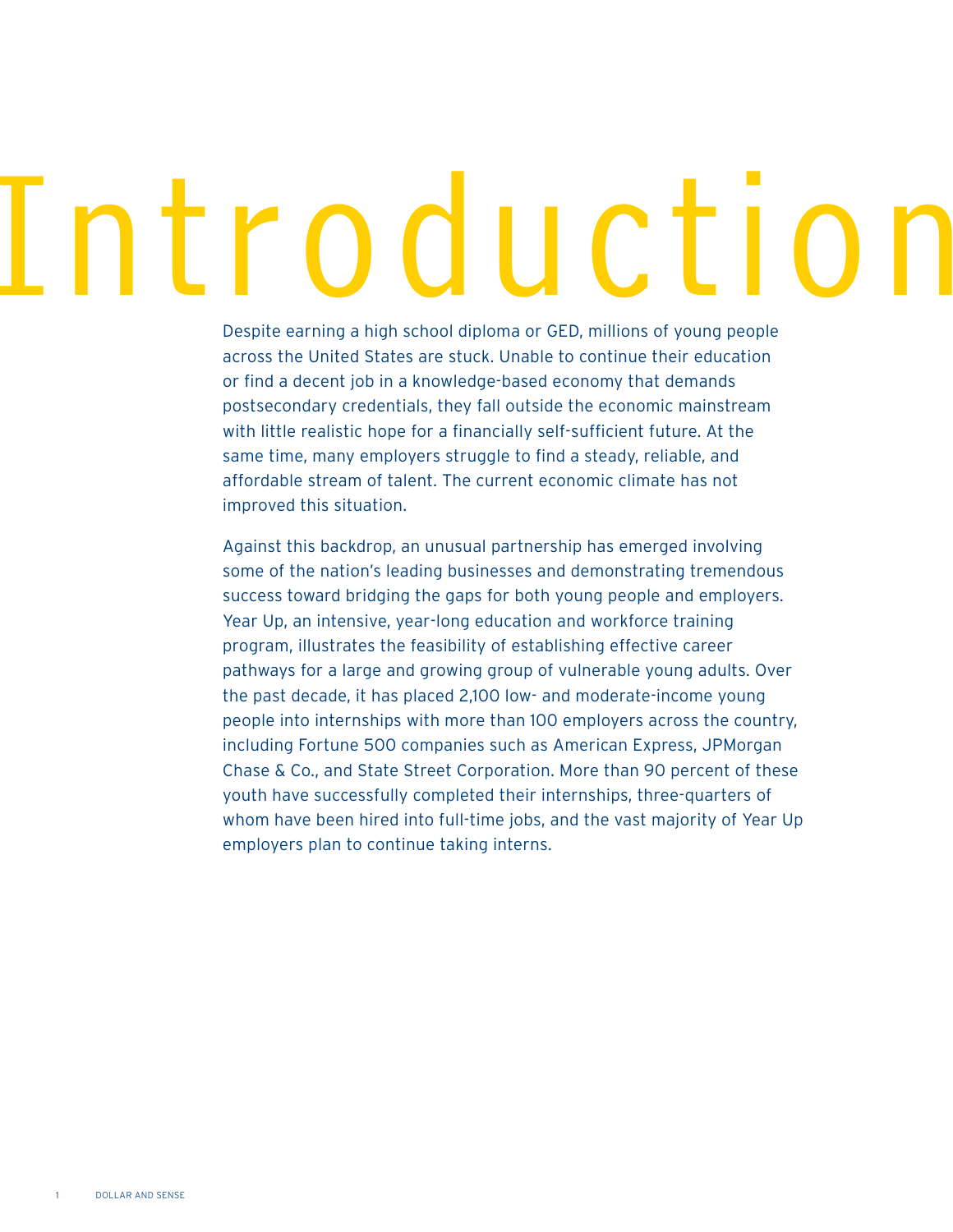# Itroduction

Despite earning a high school diploma or GED, millions of young people across the United States are stuck. Unable to continue their education or find a decent job in a knowledge-based economy that demands postsecondary credentials, they fall outside the economic mainstream with little realistic hope for a financially self-sufficient future. At the same time, many employers struggle to find a steady, reliable, and affordable stream of talent. The current economic climate has not improved this situation.

Against this backdrop, an unusual partnership has emerged involving some of the nation's leading businesses and demonstrating tremendous success toward bridging the gaps for both young people and employers. Year Up, an intensive, year-long education and workforce training program, illustrates the feasibility of establishing effective career pathways for a large and growing group of vulnerable young adults. Over the past decade, it has placed 2,100 low- and moderate-income young people into internships with more than 100 employers across the country, including Fortune 500 companies such as American Express, JPMorgan Chase & Co., and State Street Corporation. More than 90 percent of these youth have successfully completed their internships, three-quarters of whom have been hired into full-time jobs, and the vast majority of Year Up employers plan to continue taking interns.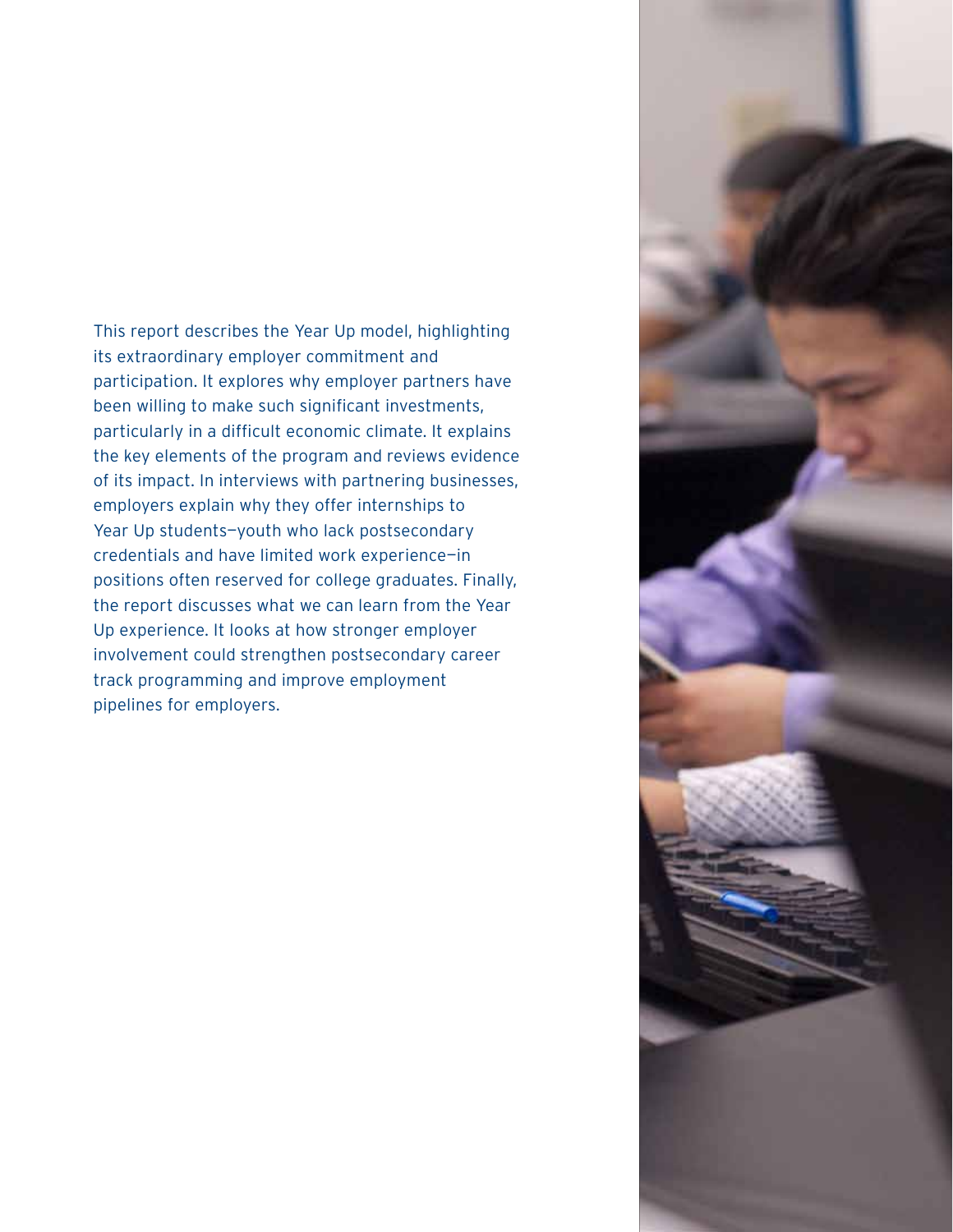This report describes the Year Up model, highlighting its extraordinary employer commitment and participation. It explores why employer partners have been willing to make such significant investments, particularly in a difficult economic climate. It explains the key elements of the program and reviews evidence of its impact. In interviews with partnering businesses, employers explain why they offer internships to Year Up students-youth who lack postsecondary credentials and have limited work experience—in positions often reserved for college graduates. Finally, the report discusses what we can learn from the Year Up experience. It looks at how stronger employer involvement could strengthen postsecondary career track programming and improve employment pipelines for employers.

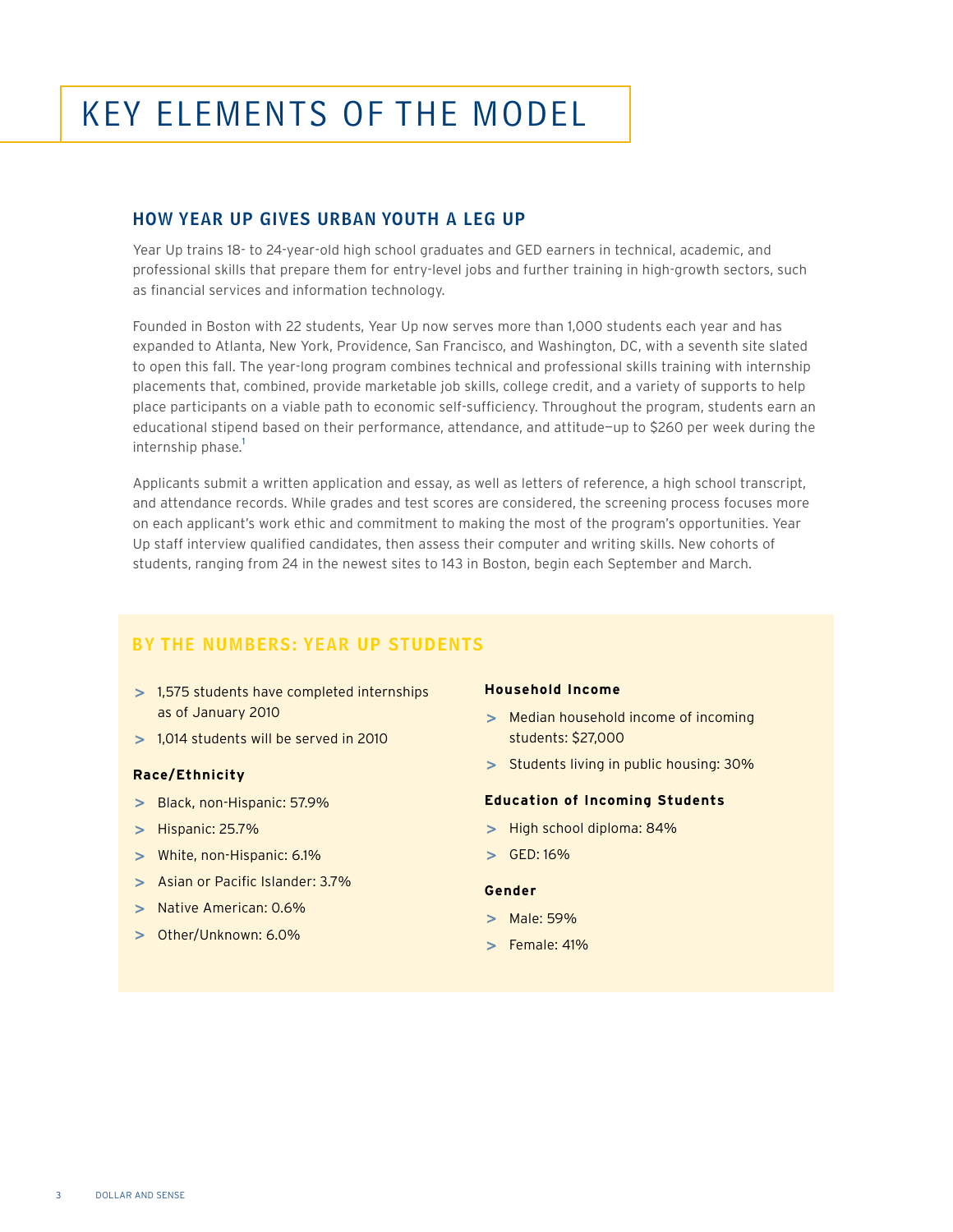# Key Elements of the Model

#### How Year Up Gives Urban Youth a Leg Up

Year Up trains 18- to 24-year-old high school graduates and GED earners in technical, academic, and professional skills that prepare them for entry-level jobs and further training in high-growth sectors, such as financial services and information technology.

Founded in Boston with 22 students, Year Up now serves more than 1,000 students each year and has expanded to Atlanta, New York, Providence, San Francisco, and Washington, DC, with a seventh site slated to open this fall. The year-long program combines technical and professional skills training with internship placements that, combined, provide marketable job skills, college credit, and a variety of supports to help place participants on a viable path to economic self-sufficiency. Throughout the program, students earn an educational stipend based on their performance, attendance, and attitude—up to \$260 per week during the internship phase.<sup>1</sup>

Applicants submit a written application and essay, as well as letters of reference, a high school transcript, and attendance records. While grades and test scores are considered, the screening process focuses more on each applicant's work ethic and commitment to making the most of the program's opportunities. Year Up staff interview qualified candidates, then assess their computer and writing skills. New cohorts of students, ranging from 24 in the newest sites to 143 in Boston, begin each September and March.

#### BY THE NUMBERS: YEAR UP STUDENTS

- **>**  1,575 students have completed internships as of January 2010
- **>**  1,014 students will be served in 2010

#### **Race/Ethnicity**

- **>**  Black, non-Hispanic: 57.9%
- **>**  Hispanic: 25.7%
- **>**  White, non-Hispanic: 6.1%
- **>**  Asian or Pacific Islander: 3.7%
- **>**  Native American: 0.6%
- **>**  Other/Unknown: 6.0%

#### **Household Income**

- **>**  Median household income of incoming students: \$27,000
- **>**  Students living in public housing: 30%

#### **Education of Incoming Students**

- **>**  High school diploma: 84%
- **>**  GED: 16%

#### **Gender**

- **>**  Male: 59%
- **>**  Female: 41%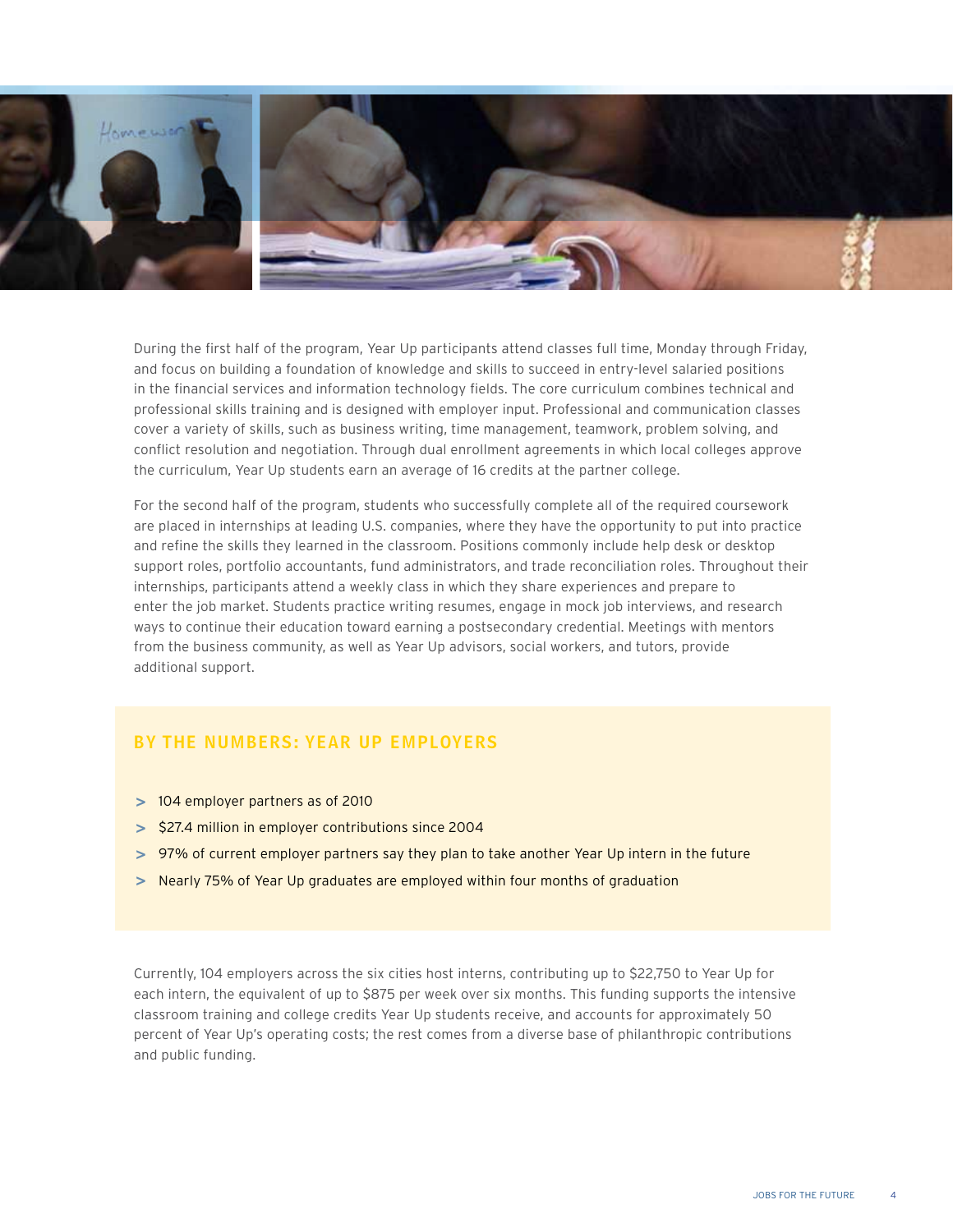

During the first half of the program, Year Up participants attend classes full time, Monday through Friday, and focus on building a foundation of knowledge and skills to succeed in entry-level salaried positions in the financial services and information technology fields. The core curriculum combines technical and professional skills training and is designed with employer input. Professional and communication classes cover a variety of skills, such as business writing, time management, teamwork, problem solving, and conflict resolution and negotiation. Through dual enrollment agreements in which local colleges approve the curriculum, Year Up students earn an average of 16 credits at the partner college.

For the second half of the program, students who successfully complete all of the required coursework are placed in internships at leading U.S. companies, where they have the opportunity to put into practice and refine the skills they learned in the classroom. Positions commonly include help desk or desktop support roles, portfolio accountants, fund administrators, and trade reconciliation roles. Throughout their internships, participants attend a weekly class in which they share experiences and prepare to enter the job market. Students practice writing resumes, engage in mock job interviews, and research ways to continue their education toward earning a postsecondary credential. Meetings with mentors from the business community, as well as Year Up advisors, social workers, and tutors, provide additional support.

#### BY THE NUMBERS: YEAR UP employers

- **>**  104 employer partners as of 2010
- **>**  \$27.4 million in employer contributions since 2004
- **>**  97% of current employer partners say they plan to take another Year Up intern in the future
- **>**  Nearly 75% of Year Up graduates are employed within four months of graduation

Currently, 104 employers across the six cities host interns, contributing up to \$22,750 to Year Up for each intern, the equivalent of up to \$875 per week over six months. This funding supports the intensive classroom training and college credits Year Up students receive, and accounts for approximately 50 percent of Year Up's operating costs; the rest comes from a diverse base of philanthropic contributions and public funding.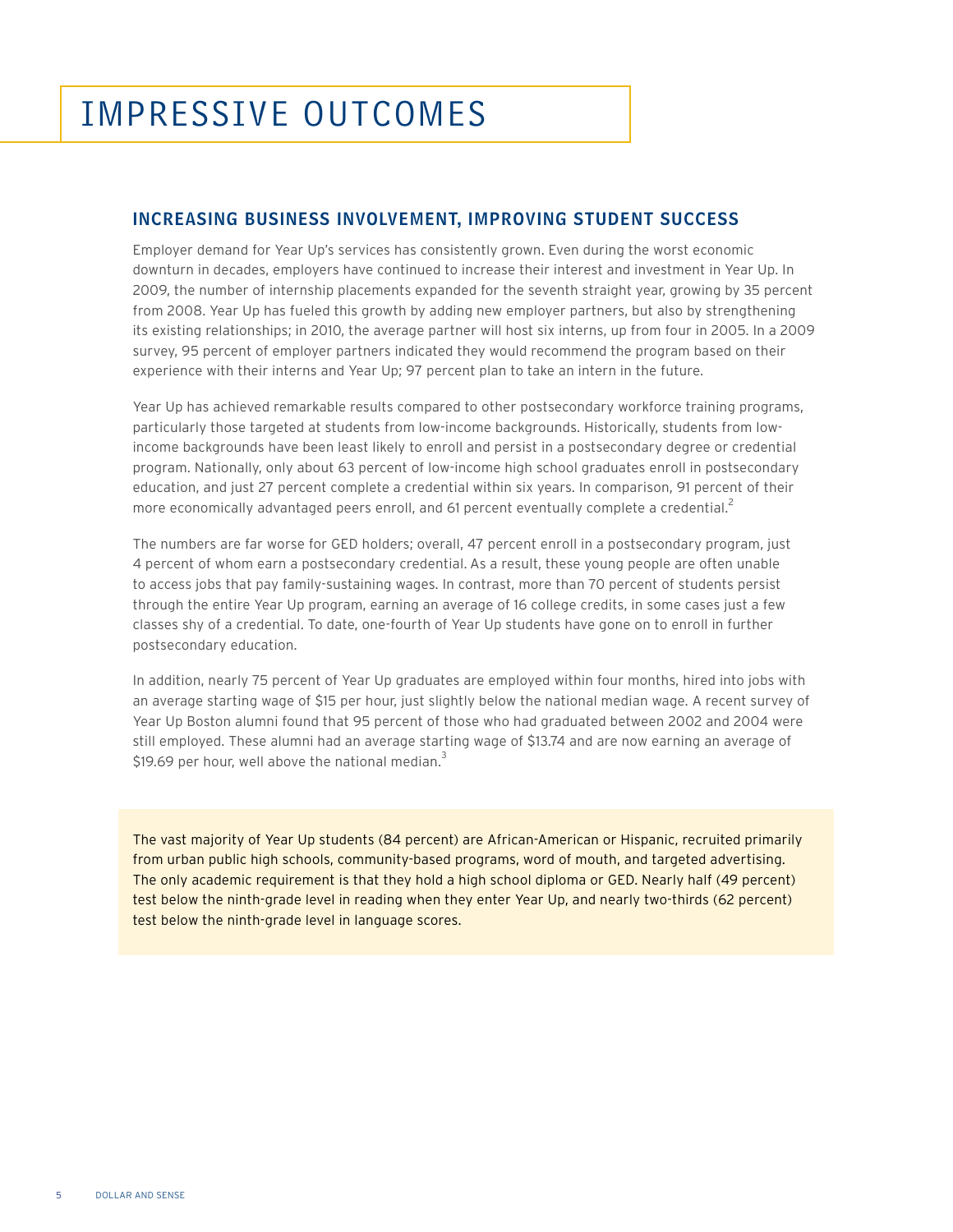#### Increasing Business Involvement, Improving Student Success

Employer demand for Year Up's services has consistently grown. Even during the worst economic downturn in decades, employers have continued to increase their interest and investment in Year Up. In 2009, the number of internship placements expanded for the seventh straight year, growing by 35 percent from 2008. Year Up has fueled this growth by adding new employer partners, but also by strengthening its existing relationships; in 2010, the average partner will host six interns, up from four in 2005. In a 2009 survey, 95 percent of employer partners indicated they would recommend the program based on their experience with their interns and Year Up; 97 percent plan to take an intern in the future.

Year Up has achieved remarkable results compared to other postsecondary workforce training programs, particularly those targeted at students from low-income backgrounds. Historically, students from lowincome backgrounds have been least likely to enroll and persist in a postsecondary degree or credential program. Nationally, only about 63 percent of low-income high school graduates enroll in postsecondary education, and just 27 percent complete a credential within six years. In comparison, 91 percent of their more economically advantaged peers enroll, and 61 percent eventually complete a credential.<sup>2</sup>

The numbers are far worse for GED holders; overall, 47 percent enroll in a postsecondary program, just 4 percent of whom earn a postsecondary credential. As a result, these young people are often unable to access jobs that pay family-sustaining wages. In contrast, more than 70 percent of students persist through the entire Year Up program, earning an average of 16 college credits, in some cases just a few classes shy of a credential. To date, one-fourth of Year Up students have gone on to enroll in further postsecondary education.

In addition, nearly 75 percent of Year Up graduates are employed within four months, hired into jobs with an average starting wage of \$15 per hour, just slightly below the national median wage. A recent survey of Year Up Boston alumni found that 95 percent of those who had graduated between 2002 and 2004 were still employed. These alumni had an average starting wage of \$13.74 and are now earning an average of \$19.69 per hour, well above the national median. $3$ 

The vast majority of Year Up students (84 percent) are African-American or Hispanic, recruited primarily from urban public high schools, community-based programs, word of mouth, and targeted advertising. The only academic requirement is that they hold a high school diploma or GED. Nearly half (49 percent) test below the ninth-grade level in reading when they enter Year Up, and nearly two-thirds (62 percent) test below the ninth-grade level in language scores.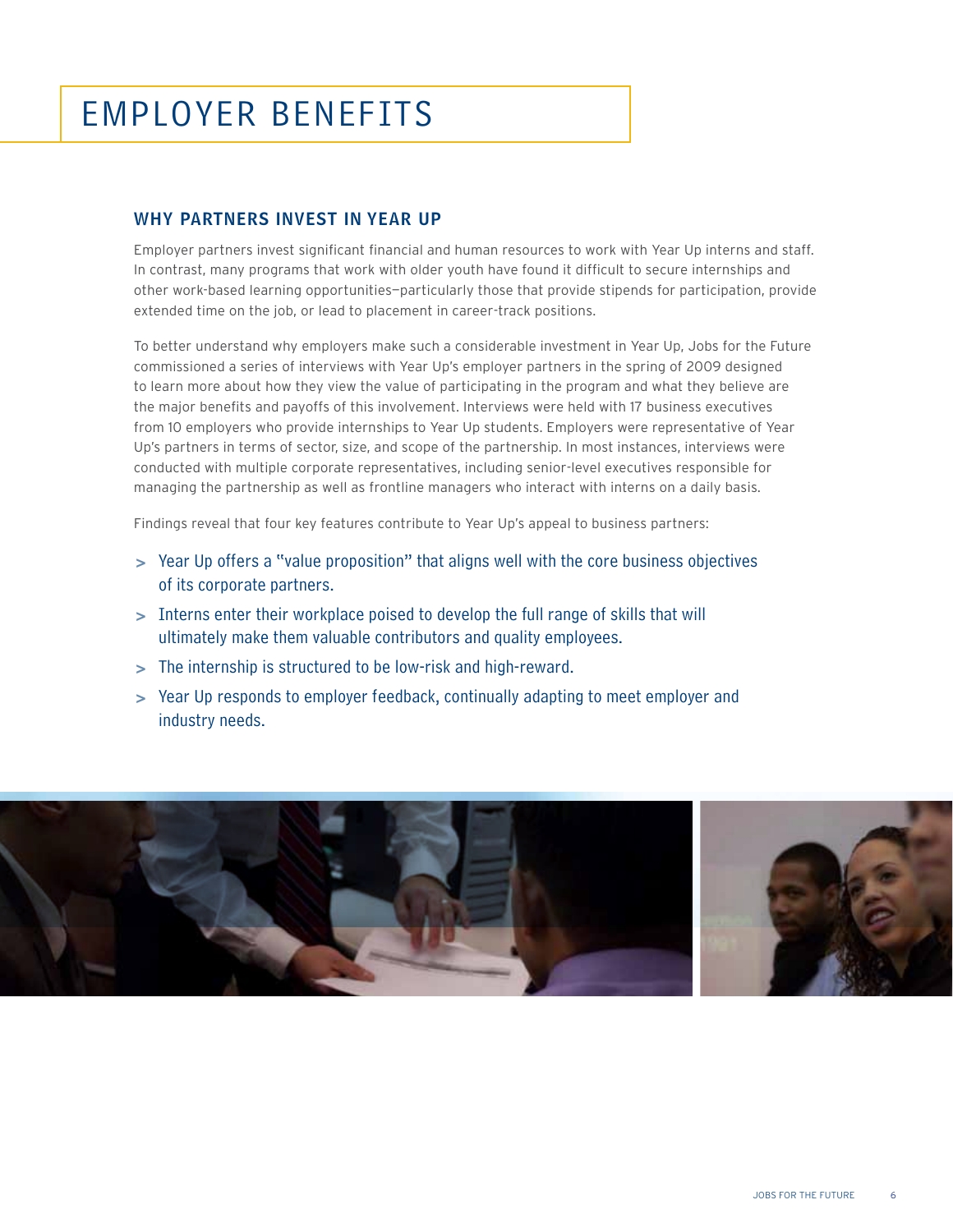## employer benefits

#### Why Partners Invest in Year Up

Employer partners invest significant financial and human resources to work with Year Up interns and staff. In contrast, many programs that work with older youth have found it difficult to secure internships and other work-based learning opportunities—particularly those that provide stipends for participation, provide extended time on the job, or lead to placement in career-track positions.

To better understand why employers make such a considerable investment in Year Up, Jobs for the Future commissioned a series of interviews with Year Up's employer partners in the spring of 2009 designed to learn more about how they view the value of participating in the program and what they believe are the major benefits and payoffs of this involvement. Interviews were held with 17 business executives from 10 employers who provide internships to Year Up students. Employers were representative of Year Up's partners in terms of sector, size, and scope of the partnership. In most instances, interviews were conducted with multiple corporate representatives, including senior-level executives responsible for managing the partnership as well as frontline managers who interact with interns on a daily basis.

Findings reveal that four key features contribute to Year Up's appeal to business partners:

- **>**  Year Up offers a "value proposition" that aligns well with the core business objectives of its corporate partners.
- **>**  Interns enter their workplace poised to develop the full range of skills that will ultimately make them valuable contributors and quality employees.
- **>**  The internship is structured to be low-risk and high-reward.
- **>**  Year Up responds to employer feedback, continually adapting to meet employer and industry needs.

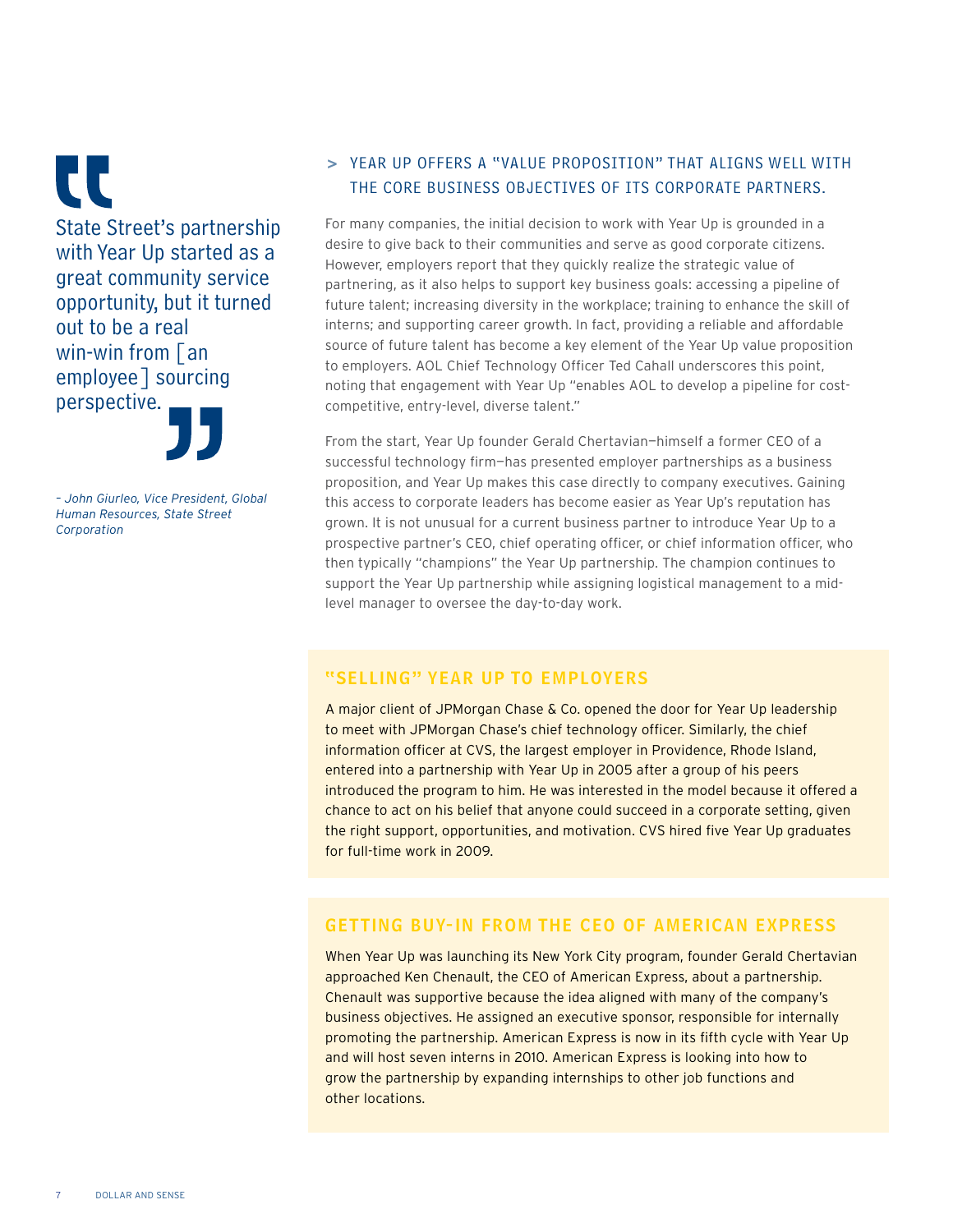**CC** State Street's partnership with Year Up started as a great community service opportunity, but it turned out to be a real win-win from  $\sqrt{a}$ employee] sourcing perspective.



*– John Giurleo, Vice President, Global Human Resources, State Street Corporation*

#### **>**  Year Up offers a "value proposition" that aligns well with the core business objectives of its corporate partners.

For many companies, the initial decision to work with Year Up is grounded in a desire to give back to their communities and serve as good corporate citizens. However, employers report that they quickly realize the strategic value of partnering, as it also helps to support key business goals: accessing a pipeline of future talent; increasing diversity in the workplace; training to enhance the skill of interns; and supporting career growth. In fact, providing a reliable and affordable source of future talent has become a key element of the Year Up value proposition to employers. AOL Chief Technology Officer Ted Cahall underscores this point, noting that engagement with Year Up "enables AOL to develop a pipeline for costcompetitive, entry-level, diverse talent."

From the start, Year Up founder Gerald Chertavian—himself a former CEO of a successful technology firm—has presented employer partnerships as a business proposition, and Year Up makes this case directly to company executives. Gaining this access to corporate leaders has become easier as Year Up's reputation has grown. It is not unusual for a current business partner to introduce Year Up to a prospective partner's CEO, chief operating officer, or chief information officer, who then typically "champions" the Year Up partnership. The champion continues to support the Year Up partnership while assigning logistical management to a midlevel manager to oversee the day-to-day work.

#### "Selling" Year Up to Employers

A major client of JPMorgan Chase & Co. opened the door for Year Up leadership to meet with JPMorgan Chase's chief technology officer. Similarly, the chief information officer at CVS, the largest employer in Providence, Rhode Island, entered into a partnership with Year Up in 2005 after a group of his peers introduced the program to him. He was interested in the model because it offered a chance to act on his belief that anyone could succeed in a corporate setting, given the right support, opportunities, and motivation. CVS hired five Year Up graduates for full-time work in 2009.

#### Getting Buy-In from the CEO of American Express

When Year Up was launching its New York City program, founder Gerald Chertavian approached Ken Chenault, the CEO of American Express, about a partnership. Chenault was supportive because the idea aligned with many of the company's business objectives. He assigned an executive sponsor, responsible for internally promoting the partnership. American Express is now in its fifth cycle with Year Up and will host seven interns in 2010. American Express is looking into how to grow the partnership by expanding internships to other job functions and other locations.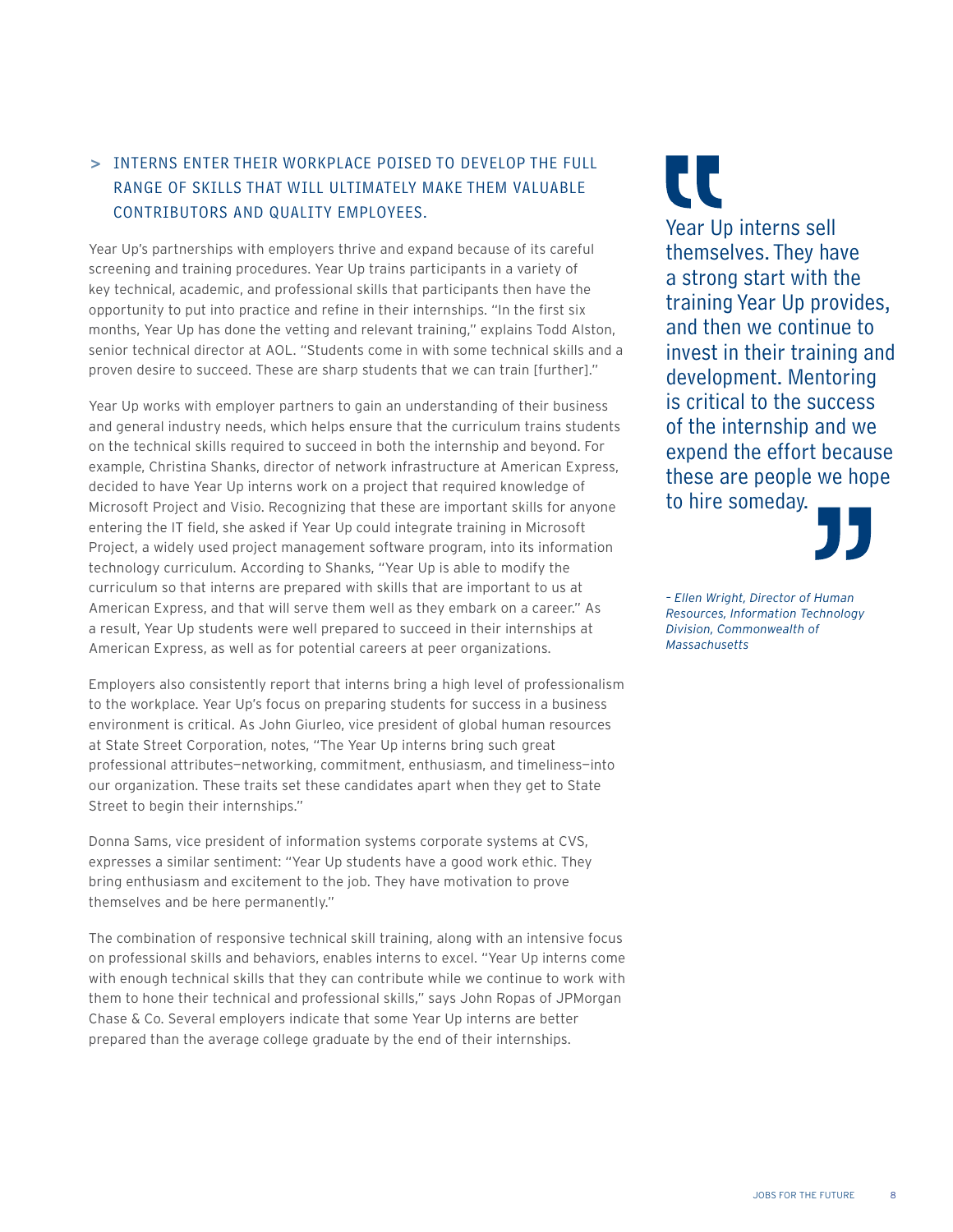#### **>**  Interns enter their workplace poised to develop the full range of skills that will ultimately make them valuable contributors and quality employees.

Year Up's partnerships with employers thrive and expand because of its careful screening and training procedures. Year Up trains participants in a variety of key technical, academic, and professional skills that participants then have the opportunity to put into practice and refine in their internships. "In the first six months, Year Up has done the vetting and relevant training," explains Todd Alston, senior technical director at AOL. "Students come in with some technical skills and a proven desire to succeed. These are sharp students that we can train [further]."

Year Up works with employer partners to gain an understanding of their business and general industry needs, which helps ensure that the curriculum trains students on the technical skills required to succeed in both the internship and beyond. For example, Christina Shanks, director of network infrastructure at American Express, decided to have Year Up interns work on a project that required knowledge of Microsoft Project and Visio. Recognizing that these are important skills for anyone entering the IT field, she asked if Year Up could integrate training in Microsoft Project, a widely used project management software program, into its information technology curriculum. According to Shanks, "Year Up is able to modify the curriculum so that interns are prepared with skills that are important to us at American Express, and that will serve them well as they embark on a career." As a result, Year Up students were well prepared to succeed in their internships at American Express, as well as for potential careers at peer organizations.

Employers also consistently report that interns bring a high level of professionalism to the workplace. Year Up's focus on preparing students for success in a business environment is critical. As John Giurleo, vice president of global human resources at State Street Corporation, notes, "The Year Up interns bring such great professional attributes—networking, commitment, enthusiasm, and timeliness—into our organization. These traits set these candidates apart when they get to State Street to begin their internships."

Donna Sams, vice president of information systems corporate systems at CVS, expresses a similar sentiment: "Year Up students have a good work ethic. They bring enthusiasm and excitement to the job. They have motivation to prove themselves and be here permanently."

The combination of responsive technical skill training, along with an intensive focus on professional skills and behaviors, enables interns to excel. "Year Up interns come with enough technical skills that they can contribute while we continue to work with them to hone their technical and professional skills," says John Ropas of JPMorgan Chase & Co. Several employers indicate that some Year Up interns are better prepared than the average college graduate by the end of their internships.

CC

Year Up interns sell themselves. They have a strong start with the training Year Up provides, and then we continue to invest in their training and development. Mentoring is critical to the success of the internship and we expend the effort because these are people we hope to hire someday.



*– Ellen Wright, Director of Human Resources, Information Technology Division, Commonwealth of Massachusetts*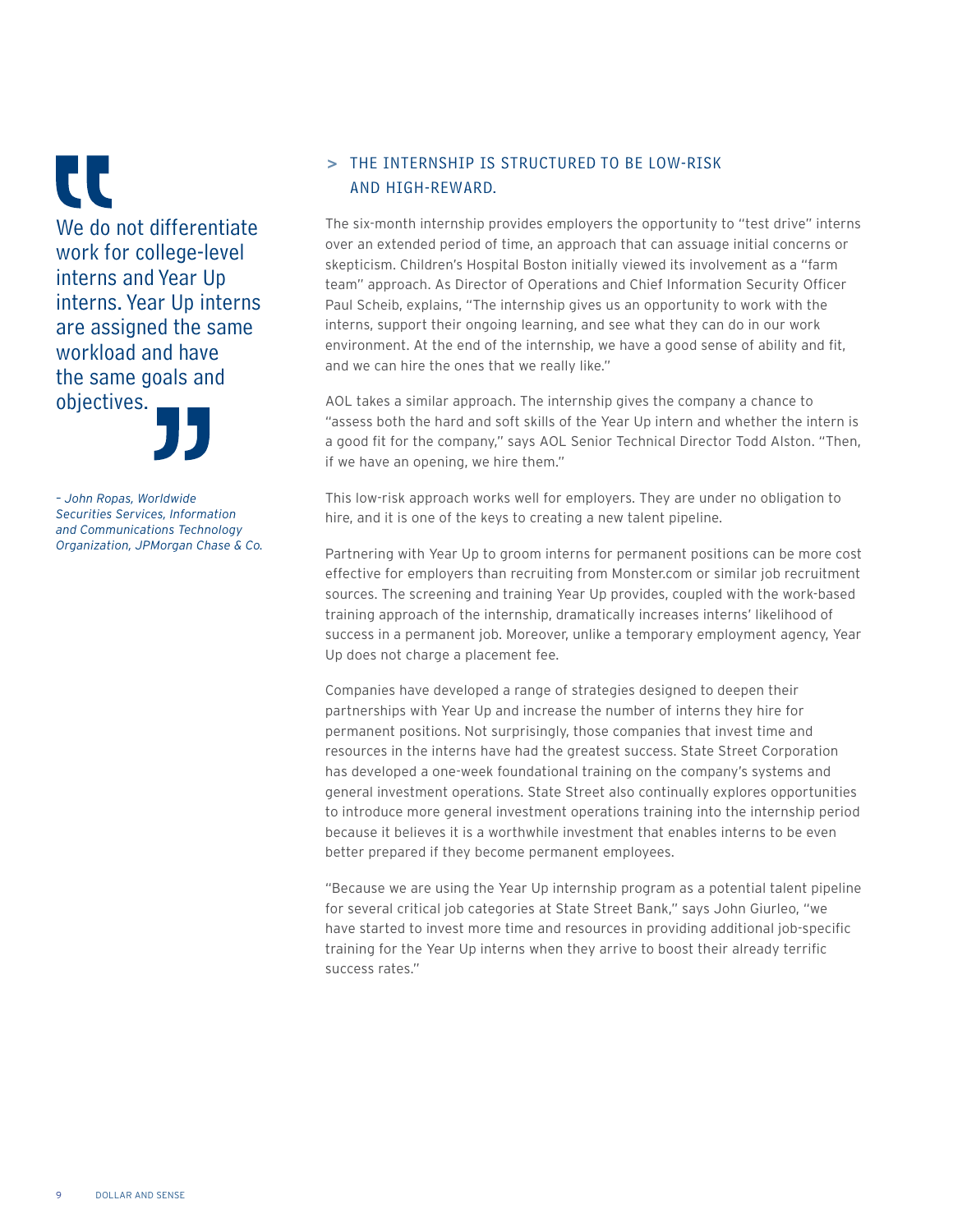CC We do not differentiate work for college-level interns and Year Up interns. Year Up interns are assigned the same workload and have the same goals and objectives.



*– John Ropas, Worldwide Securities Services, Information and Communications Technology Organization, JPMorgan Chase & Co.*

#### **>**  The internship is structured to be low-risk and high-reward.

The six-month internship provides employers the opportunity to "test drive" interns over an extended period of time, an approach that can assuage initial concerns or skepticism. Children's Hospital Boston initially viewed its involvement as a "farm team" approach. As Director of Operations and Chief Information Security Officer Paul Scheib, explains, "The internship gives us an opportunity to work with the interns, support their ongoing learning, and see what they can do in our work environment. At the end of the internship, we have a good sense of ability and fit, and we can hire the ones that we really like."

AOL takes a similar approach. The internship gives the company a chance to "assess both the hard and soft skills of the Year Up intern and whether the intern is a good fit for the company," says AOL Senior Technical Director Todd Alston. "Then, if we have an opening, we hire them."

This low-risk approach works well for employers. They are under no obligation to hire, and it is one of the keys to creating a new talent pipeline.

Partnering with Year Up to groom interns for permanent positions can be more cost effective for employers than recruiting from Monster.com or similar job recruitment sources. The screening and training Year Up provides, coupled with the work-based training approach of the internship, dramatically increases interns' likelihood of success in a permanent job. Moreover, unlike a temporary employment agency, Year Up does not charge a placement fee.

Companies have developed a range of strategies designed to deepen their partnerships with Year Up and increase the number of interns they hire for permanent positions. Not surprisingly, those companies that invest time and resources in the interns have had the greatest success. State Street Corporation has developed a one-week foundational training on the company's systems and general investment operations. State Street also continually explores opportunities to introduce more general investment operations training into the internship period because it believes it is a worthwhile investment that enables interns to be even better prepared if they become permanent employees.

"Because we are using the Year Up internship program as a potential talent pipeline for several critical job categories at State Street Bank," says John Giurleo, "we have started to invest more time and resources in providing additional job-specific training for the Year Up interns when they arrive to boost their already terrific success rates."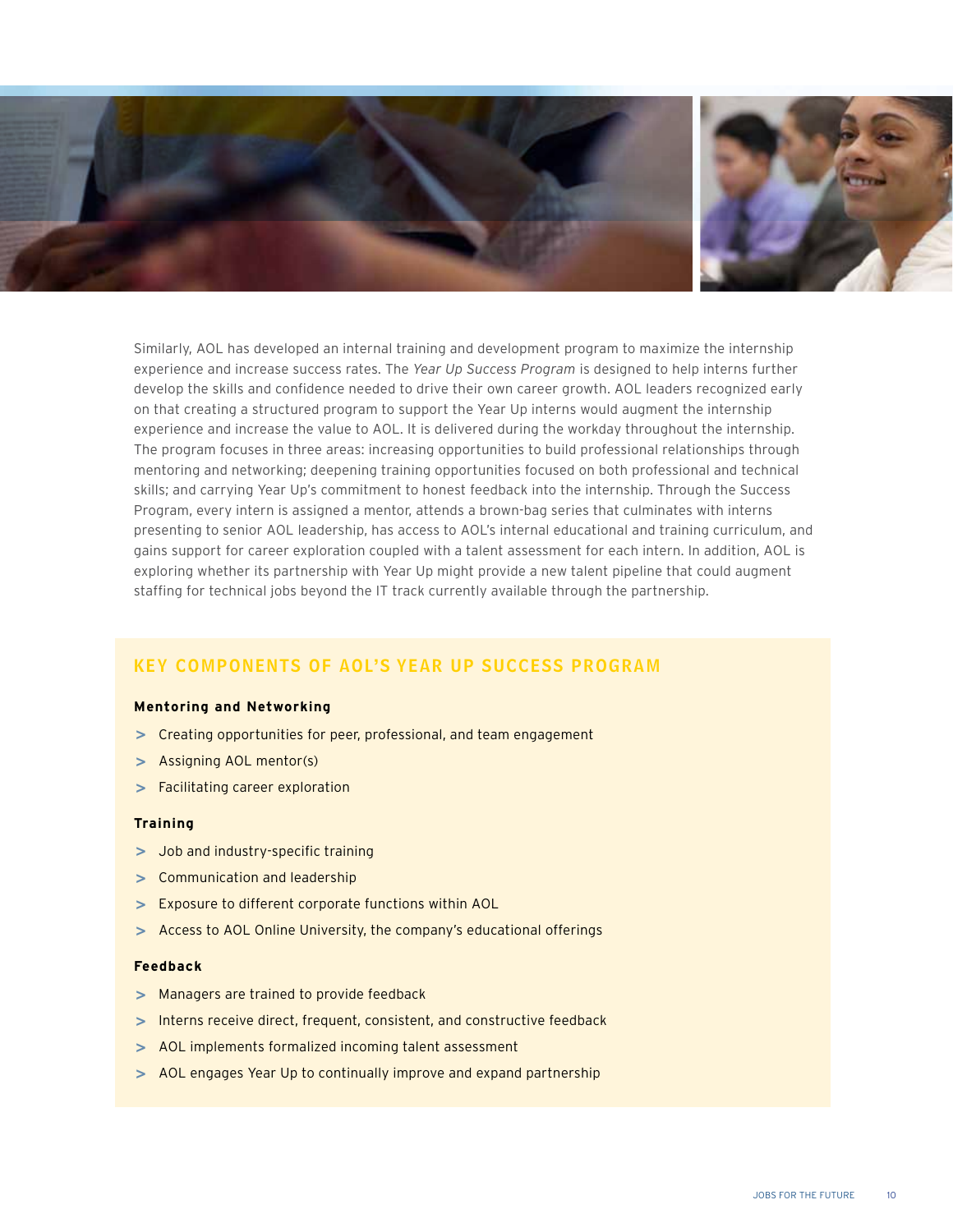

Similarly, AOL has developed an internal training and development program to maximize the internship experience and increase success rates. The *Year Up Success Program* is designed to help interns further develop the skills and confidence needed to drive their own career growth. AOL leaders recognized early on that creating a structured program to support the Year Up interns would augment the internship experience and increase the value to AOL. It is delivered during the workday throughout the internship. The program focuses in three areas: increasing opportunities to build professional relationships through mentoring and networking; deepening training opportunities focused on both professional and technical skills; and carrying Year Up's commitment to honest feedback into the internship. Through the Success Program, every intern is assigned a mentor, attends a brown-bag series that culminates with interns presenting to senior AOL leadership, has access to AOL's internal educational and training curriculum, and gains support for career exploration coupled with a talent assessment for each intern. In addition, AOL is exploring whether its partnership with Year Up might provide a new talent pipeline that could augment staffing for technical jobs beyond the IT track currently available through the partnership.

#### Key Components of AOL's Year Up Success Program

#### **Mentoring and Networking**

- **>**  Creating opportunities for peer, professional, and team engagement
- **>**  Assigning AOL mentor(s)
- **>**  Facilitating career exploration

#### **Training**

- **>**  Job and industry-specific training
- **>**  Communication and leadership
- **>**  Exposure to different corporate functions within AOL
- **>**  Access to AOL Online University, the company's educational offerings

#### **Feedback**

- **>**  Managers are trained to provide feedback
- **>**  Interns receive direct, frequent, consistent, and constructive feedback
- **>**  AOL implements formalized incoming talent assessment
- **>**  AOL engages Year Up to continually improve and expand partnership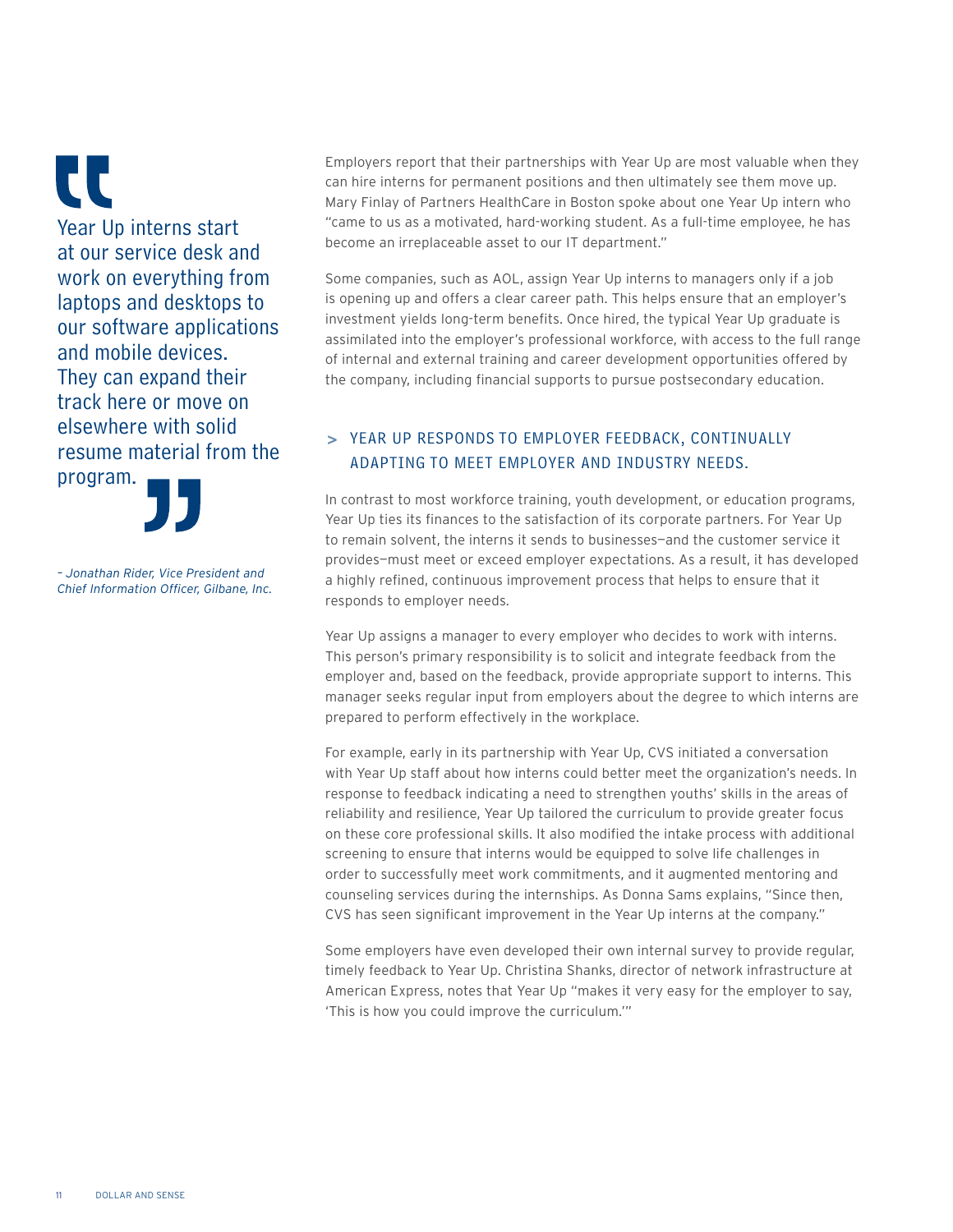CC Year Up interns start at our service desk and work on everything from laptops and desktops to our software applications and mobile devices. They can expand their track here or move on elsewhere with solid resume material from the program.

*– Jonathan Rider, Vice President and Chief Information Officer, Gilbane, Inc.* Employers report that their partnerships with Year Up are most valuable when they can hire interns for permanent positions and then ultimately see them move up. Mary Finlay of Partners HealthCare in Boston spoke about one Year Up intern who "came to us as a motivated, hard-working student. As a full-time employee, he has become an irreplaceable asset to our IT department."

Some companies, such as AOL, assign Year Up interns to managers only if a job is opening up and offers a clear career path. This helps ensure that an employer's investment yields long-term benefits. Once hired, the typical Year Up graduate is assimilated into the employer's professional workforce, with access to the full range of internal and external training and career development opportunities offered by the company, including financial supports to pursue postsecondary education.

#### **>**  Year Up responds to employer feedback, continually adapting to meet employer and industry needs.

In contrast to most workforce training, youth development, or education programs, Year Up ties its finances to the satisfaction of its corporate partners. For Year Up to remain solvent, the interns it sends to businesses—and the customer service it provides—must meet or exceed employer expectations. As a result, it has developed a highly refined, continuous improvement process that helps to ensure that it responds to employer needs.

Year Up assigns a manager to every employer who decides to work with interns. This person's primary responsibility is to solicit and integrate feedback from the employer and, based on the feedback, provide appropriate support to interns. This manager seeks regular input from employers about the degree to which interns are prepared to perform effectively in the workplace.

For example, early in its partnership with Year Up, CVS initiated a conversation with Year Up staff about how interns could better meet the organization's needs. In response to feedback indicating a need to strengthen youths' skills in the areas of reliability and resilience, Year Up tailored the curriculum to provide greater focus on these core professional skills. It also modified the intake process with additional screening to ensure that interns would be equipped to solve life challenges in order to successfully meet work commitments, and it augmented mentoring and counseling services during the internships. As Donna Sams explains, "Since then, CVS has seen significant improvement in the Year Up interns at the company."

Some employers have even developed their own internal survey to provide regular, timely feedback to Year Up. Christina Shanks, director of network infrastructure at American Express, notes that Year Up "makes it very easy for the employer to say, 'This is how you could improve the curriculum.'"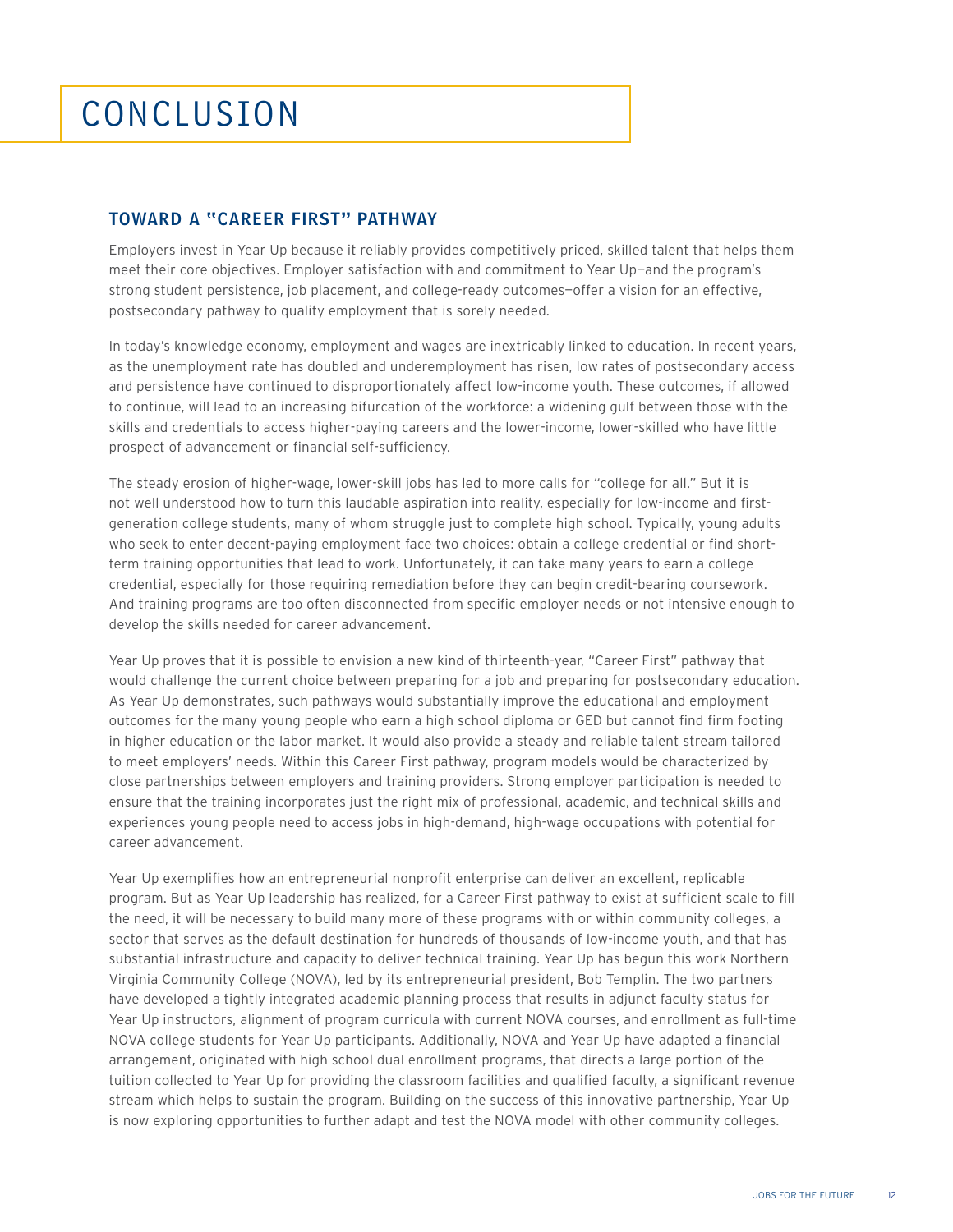## conclusion

#### toward a "Career First" Pathway

Employers invest in Year Up because it reliably provides competitively priced, skilled talent that helps them meet their core objectives. Employer satisfaction with and commitment to Year Up-and the program's strong student persistence, job placement, and college-ready outcomes—offer a vision for an effective, postsecondary pathway to quality employment that is sorely needed.

In today's knowledge economy, employment and wages are inextricably linked to education. In recent years, as the unemployment rate has doubled and underemployment has risen, low rates of postsecondary access and persistence have continued to disproportionately affect low-income youth. These outcomes, if allowed to continue, will lead to an increasing bifurcation of the workforce: a widening gulf between those with the skills and credentials to access higher-paying careers and the lower-income, lower-skilled who have little prospect of advancement or financial self-sufficiency.

The steady erosion of higher-wage, lower-skill jobs has led to more calls for "college for all." But it is not well understood how to turn this laudable aspiration into reality, especially for low-income and firstgeneration college students, many of whom struggle just to complete high school. Typically, young adults who seek to enter decent-paying employment face two choices: obtain a college credential or find shortterm training opportunities that lead to work. Unfortunately, it can take many years to earn a college credential, especially for those requiring remediation before they can begin credit-bearing coursework. And training programs are too often disconnected from specific employer needs or not intensive enough to develop the skills needed for career advancement.

Year Up proves that it is possible to envision a new kind of thirteenth-year, "Career First" pathway that would challenge the current choice between preparing for a job and preparing for postsecondary education. As Year Up demonstrates, such pathways would substantially improve the educational and employment outcomes for the many young people who earn a high school diploma or GED but cannot find firm footing in higher education or the labor market. It would also provide a steady and reliable talent stream tailored to meet employers' needs. Within this Career First pathway, program models would be characterized by close partnerships between employers and training providers. Strong employer participation is needed to ensure that the training incorporates just the right mix of professional, academic, and technical skills and experiences young people need to access jobs in high-demand, high-wage occupations with potential for career advancement.

Year Up exemplifies how an entrepreneurial nonprofit enterprise can deliver an excellent, replicable program. But as Year Up leadership has realized, for a Career First pathway to exist at sufficient scale to fill the need, it will be necessary to build many more of these programs with or within community colleges, a sector that serves as the default destination for hundreds of thousands of low-income youth, and that has substantial infrastructure and capacity to deliver technical training. Year Up has begun this work Northern Virginia Community College (NOVA), led by its entrepreneurial president, Bob Templin. The two partners have developed a tightly integrated academic planning process that results in adjunct faculty status for Year Up instructors, alignment of program curricula with current NOVA courses, and enrollment as full-time NOVA college students for Year Up participants. Additionally, NOVA and Year Up have adapted a financial arrangement, originated with high school dual enrollment programs, that directs a large portion of the tuition collected to Year Up for providing the classroom facilities and qualified faculty, a significant revenue stream which helps to sustain the program. Building on the success of this innovative partnership, Year Up is now exploring opportunities to further adapt and test the NOVA model with other community colleges.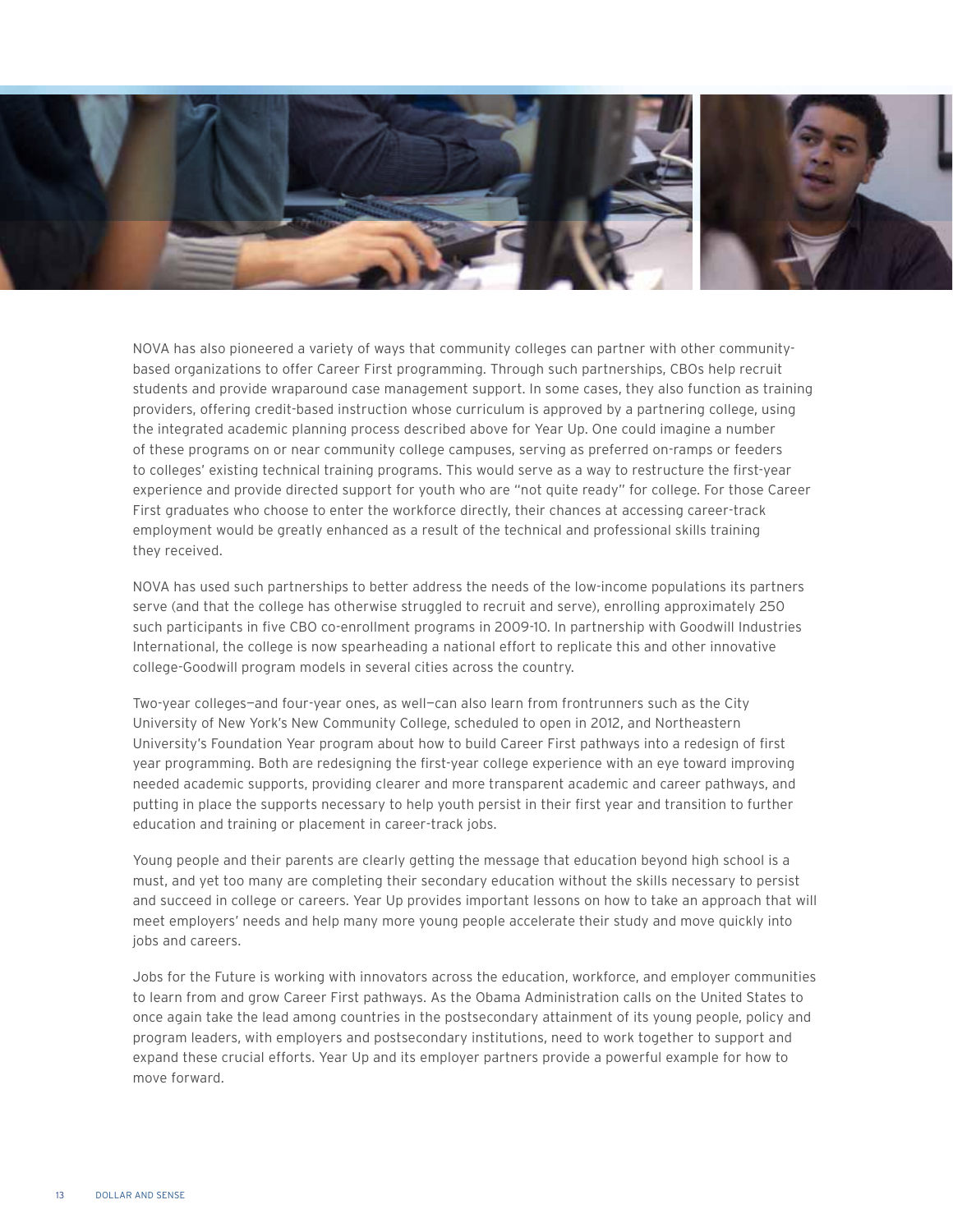

NOVA has also pioneered a variety of ways that community colleges can partner with other communitybased organizations to offer Career First programming. Through such partnerships, CBOs help recruit students and provide wraparound case management support. In some cases, they also function as training providers, offering credit-based instruction whose curriculum is approved by a partnering college, using the integrated academic planning process described above for Year Up. One could imagine a number of these programs on or near community college campuses, serving as preferred on-ramps or feeders to colleges' existing technical training programs. This would serve as a way to restructure the first-year experience and provide directed support for youth who are "not quite ready" for college. For those Career First graduates who choose to enter the workforce directly, their chances at accessing career-track employment would be greatly enhanced as a result of the technical and professional skills training they received.

NOVA has used such partnerships to better address the needs of the low-income populations its partners serve (and that the college has otherwise struggled to recruit and serve), enrolling approximately 250 such participants in five CBO co-enrollment programs in 2009-10. In partnership with Goodwill Industries International, the college is now spearheading a national effort to replicate this and other innovative college-Goodwill program models in several cities across the country.

Two-year colleges—and four-year ones, as well—can also learn from frontrunners such as the City University of New York's New Community College, scheduled to open in 2012, and Northeastern University's Foundation Year program about how to build Career First pathways into a redesign of first year programming. Both are redesigning the first-year college experience with an eye toward improving needed academic supports, providing clearer and more transparent academic and career pathways, and putting in place the supports necessary to help youth persist in their first year and transition to further education and training or placement in career-track jobs.

Young people and their parents are clearly getting the message that education beyond high school is a must, and yet too many are completing their secondary education without the skills necessary to persist and succeed in college or careers. Year Up provides important lessons on how to take an approach that will meet employers' needs and help many more young people accelerate their study and move quickly into jobs and careers.

Jobs for the Future is working with innovators across the education, workforce, and employer communities to learn from and grow Career First pathways. As the Obama Administration calls on the United States to once again take the lead among countries in the postsecondary attainment of its young people, policy and program leaders, with employers and postsecondary institutions, need to work together to support and expand these crucial efforts. Year Up and its employer partners provide a powerful example for how to move forward.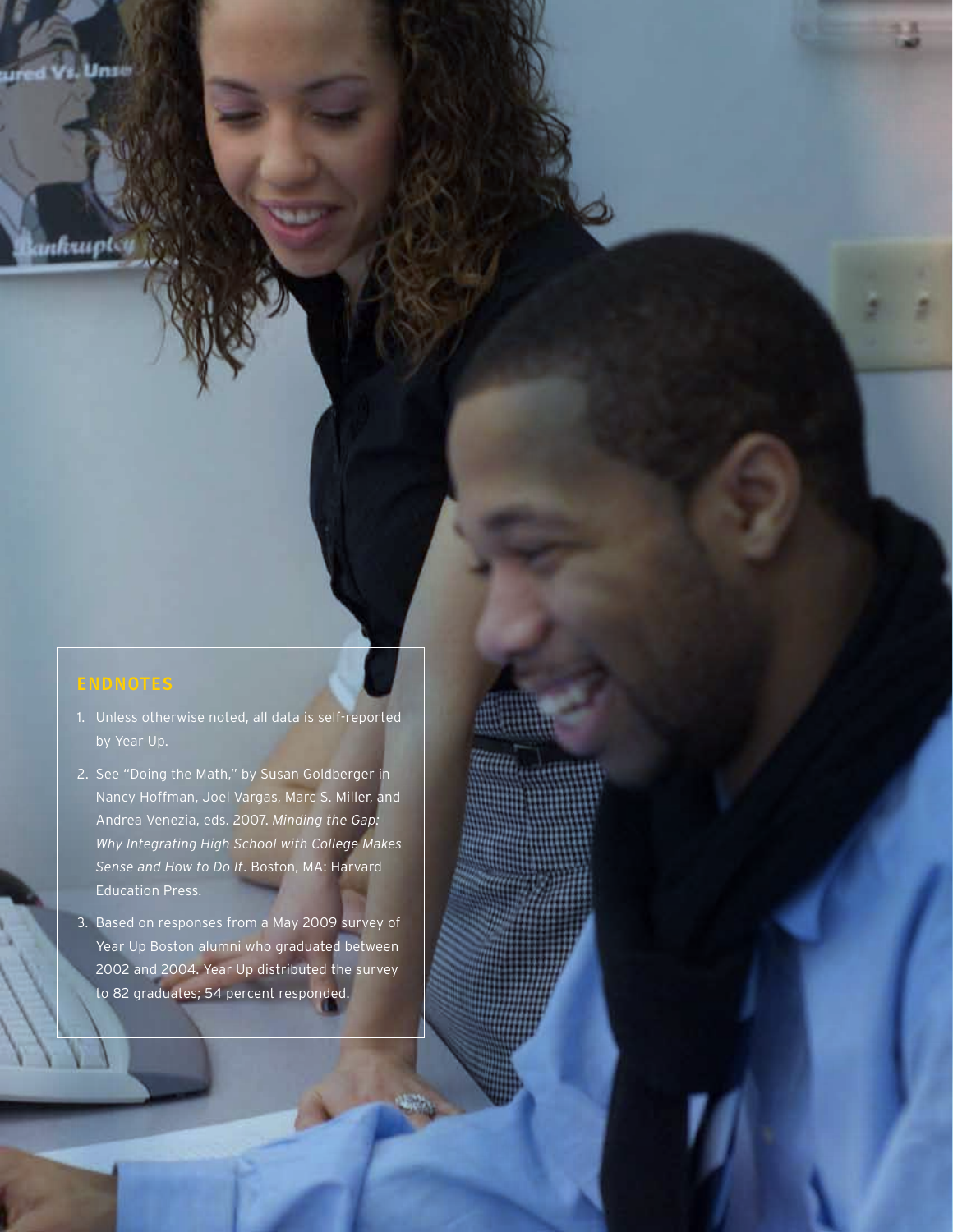**Bankrupt** 

- 1. Unless otherwise noted, all data is self-reported
- 2. See "Doing the Math," by Susan Goldberger in Nancy Hoffman, Joel Vargas, Marc S. Miller, and Andrea Venezia, eds. 2007. *Minding the Gap: Why Integrating High School with College Makes Sense and How to Do It*. Boston, MA: Harvard Education Press.
- 3. Based on responses from a May 2009 survey of Year Up Boston alumni who graduated between 2002 and 2004. Year Up distributed the survey to 82 graduates; 54 percent responded.

JOBS FOR THE FUTURE 19